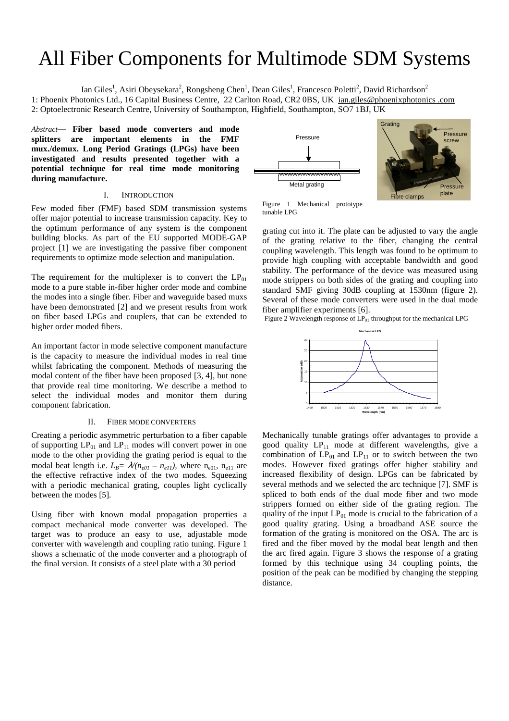# All Fiber Components for Multimode SDM Systems

Ian Giles<sup>1</sup>, Asiri Obeysekara<sup>2</sup>, Rongsheng Chen<sup>1</sup>, Dean Giles<sup>1</sup>, Francesco Poletti<sup>2</sup>, David Richardson<sup>2</sup> 1: Phoenix Photonics Ltd., 16 Capital Business Centre, 22 Carlton Road, CR2 0BS, UK ian.giles@phoenixphotonics .com 2: Optoelectronic Research Centre, University of Southampton, Highfield, Southampton, SO7 1BJ, UK

*Abstract*— **Fiber based mode converters and mode splitters are important elements in the FMF mux./demux. Long Period Gratings (LPGs) have been investigated and results presented together with a potential technique for real time mode monitoring during manufacture.** 

## I. INTRODUCTION

Few moded fiber (FMF) based SDM transmission systems offer major potential to increase transmission capacity. Key to the optimum performance of any system is the component building blocks. As part of the EU supported MODE-GAP project [1] we are investigating the passive fiber component requirements to optimize mode selection and manipulation.

The requirement for the multiplexer is to convert the  $LP_{01}$ mode to a pure stable in-fiber higher order mode and combine the modes into a single fiber. Fiber and waveguide based muxs have been demonstrated [2] and we present results from work on fiber based LPGs and couplers, that can be extended to higher order moded fibers.

An important factor in mode selective component manufacture is the capacity to measure the individual modes in real time whilst fabricating the component. Methods of measuring the modal content of the fiber have been proposed [3, 4], but none that provide real time monitoring. We describe a method to select the individual modes and monitor them during component fabrication.

### II. FIBER MODE CONVERTERS

Creating a periodic asymmetric perturbation to a fiber capable of supporting  $LP_{01}$  and  $LP_{11}$  modes will convert power in one mode to the other providing the grating period is equal to the modal beat length i.e.  $L_B = \lambda/(n_{e0I} - n_{eII})$ , where  $n_{e0I}$ ,  $n_{e11}$  are the effective refractive index of the two modes. Squeezing with a periodic mechanical grating, couples light cyclically between the modes [5].

Using fiber with known modal propagation properties a compact mechanical mode converter was developed. The target was to produce an easy to use, adjustable mode converter with wavelength and coupling ratio tuning. Figure 1 shows a schematic of the mode converter and a photograph of the final version. It consists of a steel plate with a 30 period



Figure 1 Mechanical prototype tunable LPG

grating cut into it. The plate can be adjusted to vary the angle of the grating relative to the fiber, changing the central coupling wavelength. This length was found to be optimum to provide high coupling with acceptable bandwidth and good stability. The performance of the device was measured using mode strippers on both sides of the grating and coupling into standard SMF giving 30dB coupling at 1530nm (figure 2). Several of these mode converters were used in the dual mode fiber amplifier experiments [6].

Figure 2 Wavelength response of  $LP_{01}$  throughput for the mechanical LPG



Mechanically tunable gratings offer advantages to provide a good quality  $LP_{11}$  mode at different wavelengths, give a combination of  $LP_{01}$  and  $LP_{11}$  or to switch between the two modes. However fixed gratings offer higher stability and increased flexibility of design. LPGs can be fabricated by several methods and we selected the arc technique [7]. SMF is spliced to both ends of the dual mode fiber and two mode strippers formed on either side of the grating region. The quality of the input  $LP_{01}$  mode is crucial to the fabrication of a good quality grating. Using a broadband ASE source the formation of the grating is monitored on the OSA. The arc is fired and the fiber moved by the modal beat length and then the arc fired again. Figure 3 shows the response of a grating formed by this technique using 34 coupling points, the position of the peak can be modified by changing the stepping distance.